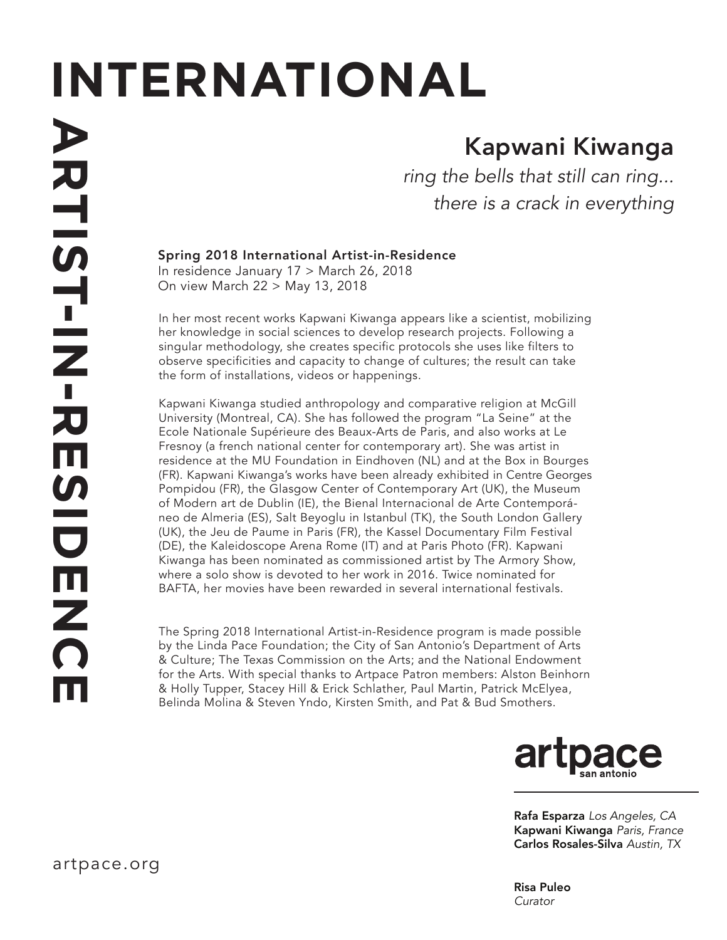# **INTERNATIONAL**

## Kapwani Kiwanga

*ring the bells that still can ring... there is a crack in everything*

### Spring 2018 International Artist-in-Residence

In residence January 17 > March 26, 2018 On view March 22 > May 13, 2018

In her most recent works Kapwani Kiwanga appears like a scientist, mobilizing her knowledge in social sciences to develop research projects. Following a singular methodology, she creates specific protocols she uses like filters to observe specificities and capacity to change of cultures; the result can take the form of installations, videos or happenings.

Kapwani Kiwanga studied anthropology and comparative religion at McGill University (Montreal, CA). She has followed the program "La Seine" at the Ecole Nationale Supérieure des Beaux-Arts de Paris, and also works at Le Fresnoy (a french national center for contemporary art). She was artist in residence at the MU Foundation in Eindhoven (NL) and at the Box in Bourges (FR). Kapwani Kiwanga's works have been already exhibited in Centre Georges Pompidou (FR), the Glasgow Center of Contemporary Art (UK), the Museum of Modern art de Dublin (IE), the Bienal Internacional de Arte Contemporáneo de Almeria (ES), Salt Beyoglu in Istanbul (TK), the South London Gallery (UK), the Jeu de Paume in Paris (FR), the Kassel Documentary Film Festival (DE), the Kaleidoscope Arena Rome (IT) and at Paris Photo (FR). Kapwani Kiwanga has been nominated as commissioned artist by The Armory Show, where a solo show is devoted to her work in 2016. Twice nominated for BAFTA, her movies have been rewarded in several international festivals.

The Spring 2018 International Artist-in-Residence program is made possible by the Linda Pace Foundation; the City of San Antonio's Department of Arts & Culture; The Texas Commission on the Arts; and the National Endowment for the Arts. With special thanks to Artpace Patron members: Alston Beinhorn & Holly Tupper, Stacey Hill & Erick Schlather, Paul Martin, Patrick McElyea, Belinda Molina & Steven Yndo, Kirsten Smith, and Pat & Bud Smothers.



Rafa Esparza *Los Angeles, CA* Kapwani Kiwanga *Paris, France* Carlos Rosales-Silva *Austin, TX*

Risa Puleo *Curator*